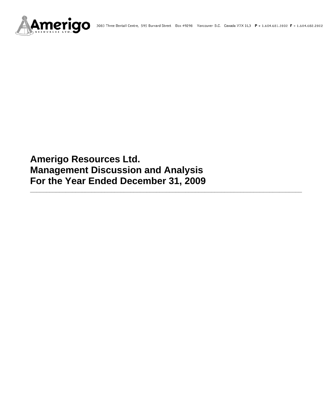

# **Amerigo Resources Ltd. Management Discussion and Analysis For the Year Ended December 31, 2009**

**\_\_\_\_\_\_\_\_\_\_\_\_\_\_\_\_\_\_\_\_\_\_\_\_\_\_\_\_\_\_\_\_\_\_\_\_\_\_\_\_\_\_\_\_\_\_\_\_\_\_\_\_\_\_\_\_\_\_\_\_\_\_\_\_\_\_\_\_\_\_\_\_\_\_\_\_\_\_\_\_\_\_\_\_**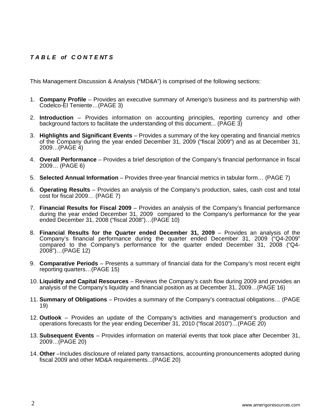# *T A B L E of C O N T E NT S*

This Management Discussion & Analysis ("MD&A") is comprised of the following sections:

- 1. **Company Profile**  Provides an executive summary of Amerigo's business and its partnership with Codelco-El Teniente…(PAGE 3)
- 2. **Introduction**  Provides information on accounting principles, reporting currency and other background factors to facilitate the understanding of this document... (PAGE 3)
- 3. **Highlights and Significant Events** Provides a summary of the key operating and financial metrics of the Company during the year ended December 31, 2009 ("fiscal 2009") and as at December 31, 2009…(PAGE 4)
- 4. **Overall Performance** Provides a brief description of the Company's financial performance in fiscal 2009… (PAGE 6)
- 5. **Selected Annual Information** Provides three-year financial metrics in tabular form… (PAGE 7)
- 6. **Operating Results** Provides an analysis of the Company's production, sales, cash cost and total cost for fiscal 2009… (PAGE 7)
- 7. **Financial Results for Fiscal 2009** Provides an analysis of the Company's financial performance during the year ended December 31, 2009 compared to the Company's performance for the year ended December 31, 2008 ("fiscal 2008")…(PAGE 10)
- 8. **Financial Results for the Quarter ended December 31, 2009** Provides an analysis of the Company's financial performance during the quarter ended December 31, 2009 ("Q4-2009" compared to the Company's performance for the quarter ended December 31, 2008 ("Q4- 2008")…(PAGE 12)
- 9. **Comparative Periods** Presents a summary of financial data for the Company's most recent eight reporting quarters…(PAGE 15)
- 10. **Liquidity and Capital Resources** Reviews the Company's cash flow during 2009 and provides an analysis of the Company's liquidity and financial position as at December 31, 2009…(PAGE 16)
- 11. **Summary of Obligations**  Provides a summary of the Company's contractual obligations… (PAGE 19)
- 12. **Outlook** Provides an update of the Company's activities and management's production and operations forecasts for the year ending December 31, 2010 ("fiscal 2010")…(PAGE 20)
- 13. **Subsequent Events** Provides information on material events that took place after December 31, 2009…(PAGE 20)
- 14. **Other** –Includes disclosure of related party transactions, accounting pronouncements adopted during fiscal 2009 and other MD&A requirements...(PAGE 20)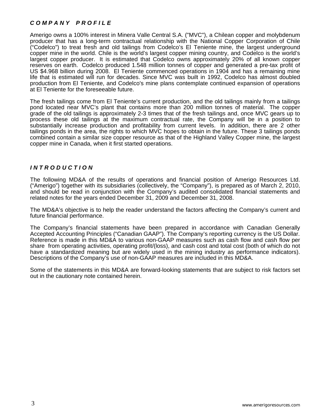# *C O M P A N Y P R O F I L E*

Amerigo owns a 100% interest in Minera Valle Central S.A. ("MVC"), a Chilean copper and molybdenum producer that has a long-term contractual relationship with the National Copper Corporation of Chile ("Codelco") to treat fresh and old tailings from Codelco's El Teniente mine, the largest underground copper mine in the world. Chile is the world's largest copper mining country, and Codelco is the world's largest copper producer. It is estimated that Codelco owns approximately 20% of all known copper reserves on earth. Codelco produced 1.548 million tonnes of copper and generated a pre-tax profit of US \$4.968 billion during 2008. El Teniente commenced operations in 1904 and has a remaining mine life that is estimated will run for decades. Since MVC was built in 1992, Codelco has almost doubled production from El Teniente, and Codelco's mine plans contemplate continued expansion of operations at El Teniente for the foreseeable future.

The fresh tailings come from El Teniente's current production, and the old tailings mainly from a tailings pond located near MVC's plant that contains more than 200 million tonnes of material. The copper grade of the old tailings is approximately 2-3 times that of the fresh tailings and, once MVC gears up to process these old tailings at the maximum contractual rate, the Company will be in a position to substantially increase production and profitability from current levels. In addition, there are 2 other tailings ponds in the area, the rights to which MVC hopes to obtain in the future. These 3 tailings ponds combined contain a similar size copper resource as that of the Highland Valley Copper mine, the largest copper mine in Canada, when it first started operations.

## *I N T R O D U C T I O N*

The following MD&A of the results of operations and financial position of Amerigo Resources Ltd. ("Amerigo") together with its subsidiaries (collectively, the "Company"), is prepared as of March 2, 2010, and should be read in conjunction with the Company's audited consolidated financial statements and related notes for the years ended December 31, 2009 and December 31, 2008.

The MD&A's objective is to help the reader understand the factors affecting the Company's current and future financial performance.

The Company's financial statements have been prepared in accordance with Canadian Generally Accepted Accounting Principles ("Canadian GAAP"). The Company's reporting currency is the US Dollar. Reference is made in this MD&A to various non-GAAP measures such as cash flow and cash flow per share from operating activities, operating profit/(loss), and cash cost and total cost (both of which do not have a standardized meaning but are widely used in the mining industry as performance indicators). Descriptions of the Company's use of non-GAAP measures are included in this MD&A.

Some of the statements in this MD&A are forward-looking statements that are subject to risk factors set out in the cautionary note contained herein.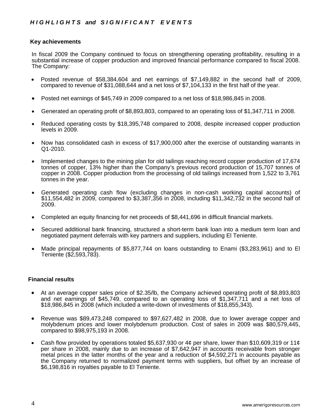# **Key achievements**

In fiscal 2009 the Company continued to focus on strengthening operating profitability, resulting in a substantial increase of copper production and improved financial performance compared to fiscal 2008. The Company:

- Posted revenue of \$58,384,604 and net earnings of \$7,149,882 in the second half of 2009, compared to revenue of \$31,088,644 and a net loss of \$7,104,133 in the first half of the year.
- Posted net earnings of \$45,749 in 2009 compared to a net loss of \$18,986,845 in 2008.
- Generated an operating profit of \$8,893,803, compared to an operating loss of \$1,347,711 in 2008.
- Reduced operating costs by \$18,395,748 compared to 2008, despite increased copper production levels in 2009.
- Now has consolidated cash in excess of \$17,900,000 after the exercise of outstanding warrants in Q1-2010.
- Implemented changes to the mining plan for old tailings reaching record copper production of 17,674 tonnes of copper, 13% higher than the Company's previous record production of 15,707 tonnes of copper in 2008. Copper production from the processing of old tailings increased from 1,522 to 3,761 tonnes in the year.
- Generated operating cash flow (excluding changes in non-cash working capital accounts) of \$11,554,482 in 2009, compared to \$3,387,356 in 2008, including \$11,342,732 in the second half of 2009.
- Completed an equity financing for net proceeds of \$8,441,696 in difficult financial markets.
- Secured additional bank financing, structured a short-term bank loan into a medium term loan and negotiated payment deferrals with key partners and suppliers, including El Teniente.
- Made principal repayments of \$5,877,744 on loans outstanding to Enami (\$3,283,961) and to El Teniente (\$2,593,783).

## **Financial results**

- At an average copper sales price of \$2.35/lb, the Company achieved operating profit of \$8,893,803 and net earnings of \$45,749, compared to an operating loss of \$1,347,711 and a net loss of \$18,986,845 in 2008 (which included a write-down of investments of \$18,855,343).
- Revenue was \$89,473,248 compared to \$97,627,482 in 2008, due to lower average copper and molybdenum prices and lower molybdenum production. Cost of sales in 2009 was \$80,579,445, compared to \$98,975,193 in 2008.
- Cash flow provided by operations totaled \$5,637,930 or 4¢ per share, lower than \$10,609,319 or 11¢ per share in 2008, mainly due to an increase of \$7,642,947 in accounts receivable from stronger metal prices in the latter months of the year and a reduction of \$4,592,271 in accounts payable as the Company returned to normalized payment terms with suppliers, but offset by an increase of \$6,198,816 in royalties payable to El Teniente.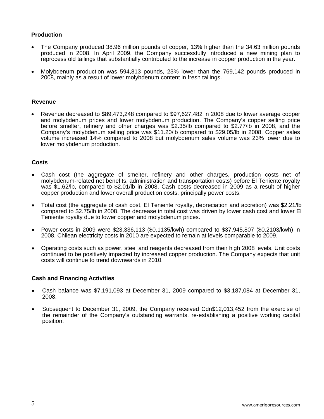# **Production**

- The Company produced 38.96 million pounds of copper, 13% higher than the 34.63 million pounds produced in 2008. In April 2009, the Company successfully introduced a new mining plan to reprocess old tailings that substantially contributed to the increase in copper production in the year.
- Molybdenum production was 594,813 pounds, 23% lower than the 769,142 pounds produced in 2008, mainly as a result of lower molybdenum content in fresh tailings.

## **Revenue**

• Revenue decreased to \$89,473,248 compared to \$97,627,482 in 2008 due to lower average copper and molybdenum prices and lower molybdenum production. The Company's copper selling price before smelter, refinery and other charges was \$2.35/lb compared to \$2.77/lb in 2008, and the Company's molybdenum selling price was \$11.20/lb compared to \$29.05/lb in 2008. Copper sales volume increased 14% compared to 2008 but molybdenum sales volume was 23% lower due to lower molybdenum production.

# **Costs**

- Cash cost (the aggregate of smelter, refinery and other charges, production costs net of molybdenum-related net benefits, administration and transportation costs) before El Teniente royalty was \$1.62/lb, compared to \$2.01/lb in 2008. Cash costs decreased in 2009 as a result of higher copper production and lower overall production costs, principally power costs.
- Total cost (the aggregate of cash cost, El Teniente royalty, depreciation and accretion) was \$2.21/lb compared to \$2.75/lb in 2008. The decrease in total cost was driven by lower cash cost and lower El Teniente royalty due to lower copper and molybdenum prices.
- Power costs in 2009 were \$23,336,113 (\$0.1135/kwh) compared to \$37,945,807 (\$0.2103/kwh) in 2008. Chilean electricity costs in 2010 are expected to remain at levels comparable to 2009.
- Operating costs such as power, steel and reagents decreased from their high 2008 levels. Unit costs continued to be positively impacted by increased copper production. The Company expects that unit costs will continue to trend downwards in 2010.

# **Cash and Financing Activities**

- Cash balance was \$7,191,093 at December 31, 2009 compared to \$3,187,084 at December 31, 2008.
- Subsequent to December 31, 2009, the Company received Cdn\$12,013,452 from the exercise of the remainder of the Company's outstanding warrants, re-establishing a positive working capital position.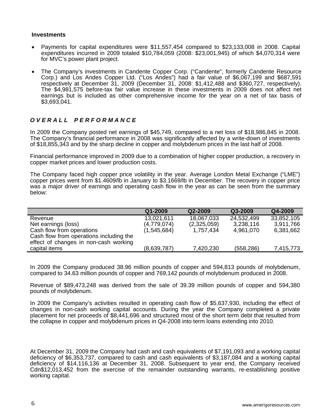## **Investments**

- Payments for capital expenditures were \$11,557,454 compared to \$23,133,008 in 2008. Capital expenditures incurred in 2009 totaled \$10,784,059 (2008: \$23,001,945) of which \$4,070,314 were for MVC's power plant project.
- The Company's investments in Candente Copper Corp. ("Candente", formerly Candente Resource Corp.) and Los Andes Copper Ltd. ("Los Andes") had a fair value of \$6,067,199 and \$687,591 respectively at December 31, 2009 (December 31, 2008: \$1,412,488 and \$360,727, respectively). The \$4,981,575 before-tax fair value increase in these investments in 2009 does not affect net earnings but is included as other comprehensive income for the year on a net of tax basis of \$3,693,041.

# *O V E R A L L P E R F O R M A N C E*

In 2009 the Company posted net earnings of \$45,749, compared to a net loss of \$18,986,845 in 2008. The Company's financial performance in 2008 was significantly affected by a write-down of investments of \$18,855,343 and by the sharp decline in copper and molybdenum prices in the last half of 2008.

Financial performance improved in 2009 due to a combination of higher copper production, a recovery in copper market prices and lower production costs.

The Company faced high copper price volatility in the year. Average London Metal Exchange ("LME") copper prices went from \$1.4609/lb in January to \$3.1669/lb in December. The recovery in copper price was a major driver of earnings and operating cash flow in the year as can be seen from the summary below:

|                                                                                                               | $Q1 - 2009$ | Q2-2009     | Q3-2009    | Q4-2009    |
|---------------------------------------------------------------------------------------------------------------|-------------|-------------|------------|------------|
| Revenue                                                                                                       | 13,021,611  | 18,067,033  | 24,532,499 | 33,852,105 |
| Net earnings (loss)                                                                                           | (4,779,074) | (2,325,059) | 3,238,116  | 3,911,766  |
| Cash flow from operations<br>Cash flow from operations including the<br>effect of changes in non-cash working | (1,545,684) | 1,757,434   | 4,961,070  | 6,381,662  |
| capital items                                                                                                 | (8,639,787) | 7,420,230   | (558, 286) | 7,415,773  |

In 2009 the Company produced 38.96 million pounds of copper and 594,813 pounds of molybdenum, compared to 34.63 million pounds of copper and 769,142 pounds of molybdenum produced in 2008.

Revenue of \$89,473,248 was derived from the sale of 39.39 million pounds of copper and 594,380 pounds of molybdenum.

In 2009 the Company's activities resulted in operating cash flow of \$5,637,930, including the effect of changes in non-cash working capital accounts. During the year the Company completed a private placement for net proceeds of \$8,441,696 and structured most of the short term debt that resulted from the collapse in copper and molybdenum prices in Q4-2008 into term loans extending into 2010.

At December 31, 2009 the Company had cash and cash equivalents of \$7,191,093 and a working capital deficiency of \$6,353,737, compared to cash and cash equivalents of \$3,187,084 and a working capital deficiency of \$14,116,136 at December 31, 2008. Subsequent to year end, the Company received Cdn\$12,013,452 from the exercise of the remainder outstanding warrants, re-establishing positive working capital.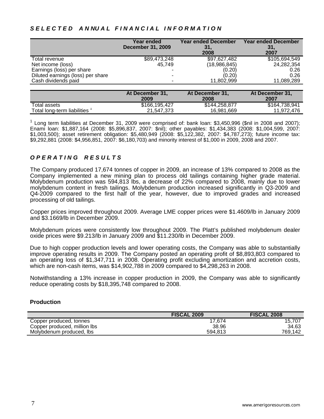# S E L E C T E D A N NU A L FIN A N C I A L I N F O R M A T I O N

|                                   | Year ended<br><b>December 31, 2009</b> | <b>Year ended December</b><br>-31.<br>2008 | <b>Year ended December</b><br>31,<br>2007 |
|-----------------------------------|----------------------------------------|--------------------------------------------|-------------------------------------------|
| Total revenue                     | \$89,473,248                           | \$97,627,482                               | \$105,694,549                             |
| Net income (loss)                 | 45,749                                 | (18, 986, 845)                             | 24,282,354                                |
| Earnings (loss) per share         |                                        | (0.20)                                     | 0.26                                      |
| Diluted earnings (loss) per share |                                        | (0.20)                                     | 0.26                                      |
| Cash dividends paid               |                                        | 11,802,999                                 | 11,089,289                                |
|                                   |                                        |                                            |                                           |

|                             | At December 31.<br>2009 | At December 31.<br>2008 | At December 31.<br>2007 |
|-----------------------------|-------------------------|-------------------------|-------------------------|
| Total assets                | \$166,195,427           | \$144,258,877           | \$164,738,941           |
| Total long-term liabilities | 21.547.373              | 16,981,669              | 11.972.476              |

<sup>1</sup> Long term liabilities at December 31, 2009 were comprised of: bank loan: \$3,450,996 (\$nil in 2008 and 2007); Enami loan: \$1,887,164 (2008: \$5,896,837, 2007: \$nil); other payables: \$1,434,383 (2008: \$1,004,599, 2007: \$1,003,500); asset retirement obligation: \$5,480,949 (2008: \$5,122,382, 2007: \$4,787,273); future income tax: \$9,292,881 (2008: \$4,956,851, 2007: \$6,180,703) and minority interest of \$1,000 in 2009, 2008 and 2007.

# *O P E R A T I N G R E S U L T S*

The Company produced 17,674 tonnes of copper in 2009, an increase of 13% compared to 2008 as the Company implemented a new mining plan to process old tailings containing higher grade material. Molybdenum production was 594,813 lbs, a decrease of 22% compared to 2008, mainly due to lower molybdenum content in fresh tailings. Molybdenum production increased significantly in Q3-2009 and Q4-2009 compared to the first half of the year, however, due to improved grades and increased processing of old tailings.

Copper prices improved throughout 2009. Average LME copper prices were \$1.4609/lb in January 2009 and \$3.1669/lb in December 2009.

Molybdenum prices were consistently low throughout 2009. The Platt's published molybdenum dealer oxide prices were \$9.213/lb in January 2009 and \$11.230/lb in December 2009.

Due to high copper production levels and lower operating costs, the Company was able to substantially improve operating results in 2009. The Company posted an operating profit of \$8,893,803 compared to an operating loss of \$1,347,711 in 2008. Operating profit excluding amortization and accretion costs, which are non-cash items, was \$14,902,788 in 2009 compared to \$4,298,263 in 2008.

Notwithstanding a 13% increase in copper production in 2009, the Company was able to significantly reduce operating costs by \$18,395,748 compared to 2008.

## **Production**

|                              | <b>FISCAL 2009</b> | <b>FISCAL 2008</b> |
|------------------------------|--------------------|--------------------|
| Copper produced, tonnes      | 17.674             | 15.707             |
| Copper produced, million lbs | 38.96              | 34.63              |
| Molybdenum produced. Ibs     | 594.813            | 769.142            |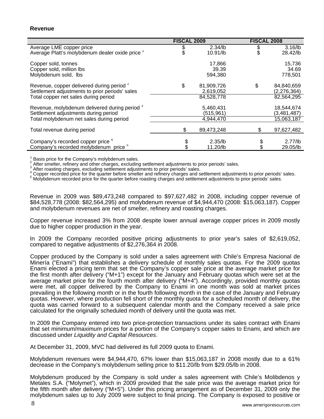|                                                                                                                                                | <b>FISCAL 2009</b>                          |    | <b>FISCAL 2008</b>                        |  |
|------------------------------------------------------------------------------------------------------------------------------------------------|---------------------------------------------|----|-------------------------------------------|--|
| Average LME copper price<br>Average Platt's molybdenum dealer oxide price 1                                                                    | $2.34$ /lb<br>10.91/lb                      | \$ | $3.16$ /lb<br>28.42/lb                    |  |
| Copper sold, tonnes<br>Copper sold, million lbs<br>Molybdenum sold, Ibs                                                                        | 17,866<br>39.39<br>594,380                  |    | 15,736<br>34.69<br>778,501                |  |
| Revenue, copper delivered during period <sup>2</sup><br>Settlement adjustments to prior periods' sales<br>Total copper net sales during period | \$<br>81,909,726<br>2,619,052<br>84,528,778 | \$ | 84,840,659<br>(2, 276, 364)<br>82,564,295 |  |
| Revenue, molybdenum delivered during period <sup>3</sup><br>Settlement adjustments during period<br>Total molybdenum net sales during period   | 5,460,431<br>(515, 961)<br>4,944,470        |    | 18,544,674<br>(3,481,487)<br>15,063,187   |  |
| Total revenue during period                                                                                                                    | \$<br>89,473,248                            | \$ | 97,627,482                                |  |
| Company's recorded copper price 4<br>Company's recorded molybdenum price <sup>5</sup>                                                          | $2.35$ /lb<br>11.20/lb                      |    | $2.77$ /lb<br>29.05/lb                    |  |

1 Basis price for the Company's molybdenum sales.

 $\overline{2}$ After smelter, refinery and other charges, excluding settlement adjustments to prior periods' sales.

3 After roasting charges, excluding settlement adjustments to prior periods' sales.

4 Copper recorded price for the quarter before smelter and refinery charges and settlement adjustments to prior periods' sales. 5

<sup>5</sup> Molybdenum recorded price for the quarter before roasting charges and settlement adjustments to prior periods' sales.

Revenue in 2009 was \$89,473,248 compared to \$97,627,482 in 2008, including copper revenue of \$84,528,778 (2008: \$82,564,295) and molybdenum revenue of \$4,944,470 (2008: \$15,063,187). Copper and molybdenum revenues are net of smelter, refinery and roasting charges.

Copper revenue increased 3% from 2008 despite lower annual average copper prices in 2009 mostly due to higher copper production in the year.

In 2009 the Company recorded positive pricing adjustments to prior year's sales of \$2,619,052, compared to negative adjustments of \$2,276,364 in 2008.

Copper produced by the Company is sold under a sales agreement with Chile's Empresa Nacional de Minería ("Enami") that establishes a delivery schedule of monthly sales quotas. For the 2009 quotas Enami elected a pricing term that set the Company's copper sale price at the average market price for the first month after delivery ("M+1") except for the January and February quotas which were set at the average market price for the fourth month after delivery ("M+4"). Accordingly, provided monthly quotas were met, all copper delivered by the Company to Enami in one month was sold at market prices prevailing in the following month or in the fourth following month in the case of the January and February quotas. However, where production fell short of the monthly quota for a scheduled month of delivery, the quota was carried forward to a subsequent calendar month and the Company received a sale price calculated for the originally scheduled month of delivery until the quota was met.

In 2009 the Company entered into two price-protection transactions under its sales contract with Enami that set minimum/maximum prices for a portion of the Company's copper sales to Enami, and which are discussed under *Liquidity and Capital Resources*.

At December 31, 2009, MVC had delivered its full 2009 quota to Enami.

Molybdenum revenues were \$4,944,470, 67% lower than \$15,063,187 in 2008 mostly due to a 61% decrease in the Company's molybdenum selling price to \$11.20/lb from \$29.05/lb in 2008.

Molybdenum produced by the Company is sold under a sales agreement with Chile's Molibdenos y Metales S.A. ("Molymet"), which in 2009 provided that the sale price was the average market price for the fifth month after delivery ("M+5"). Under this pricing arrangement as of December 31, 2009 only the molybdenum sales up to July 2009 were subject to final pricing. The Company is exposed to positive or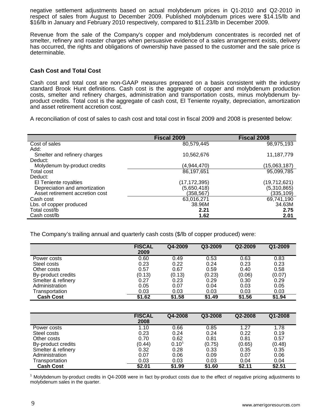negative settlement adjustments based on actual molybdenum prices in Q1-2010 and Q2-2010 in respect of sales from August to December 2009. Published molybdenum prices were \$14.15/lb and \$16/lb in January and February 2010 respectively, compared to \$11.23/lb in December 2009.

Revenue from the sale of the Company's copper and molybdenum concentrates is recorded net of smelter, refinery and roaster charges when persuasive evidence of a sales arrangement exists, delivery has occurred, the rights and obligations of ownership have passed to the customer and the sale price is determinable.

#### **Cash Cost and Total Cost**

Cash cost and total cost are non-GAAP measures prepared on a basis consistent with the industry standard Brook Hunt definitions. Cash cost is the aggregate of copper and molybdenum production costs, smelter and refinery charges, administration and transportation costs, minus molybdenum byproduct credits. Total cost is the aggregate of cash cost, El Teniente royalty, depreciation, amortization and asset retirement accretion cost.

A reconciliation of cost of sales to cash cost and total cost in fiscal 2009 and 2008 is presented below:

|                                 | <b>Fiscal 2009</b> | Fiscal 2008  |
|---------------------------------|--------------------|--------------|
| Cost of sales                   | 80,579,445         | 98,975,193   |
| Add:                            |                    |              |
| Smelter and refinery charges    | 10,562,676         | 11, 187, 779 |
| Deduct:                         |                    |              |
| Molydenum by-product credits    | (4,944,470)        | (15,063,187) |
| <b>Total cost</b>               | 86,197,651         | 95,099,785   |
| Deduct:                         |                    |              |
| El Teniente royalties           | (17,172,395)       | (19,712,621) |
| Depreciation and amortization   | (5,650,418)        | (5,310,865)  |
| Asset retirement accretion cost | (358,567)          | (335, 109)   |
| Cash cost                       | 63,016,271         | 69,741,190   |
| Lbs. of copper produced         | 38.96M             | 34.63M       |
| Total cost/lb                   | 2.21               | 2.75         |
| Cash cost/lb                    | 1.62               | 2.01         |

The Company's trailing annual and quarterly cash costs (\$/lb of copper produced) were:

|                    | <b>FISCAL</b><br>2009 | Q4-2009 | Q3-2009 | Q2-2009 | Q1-2009 |
|--------------------|-----------------------|---------|---------|---------|---------|
| Power costs        | 0.60                  | 0.49    | 0.53    | 0.63    | 0.83    |
| Steel costs        | 0.23                  | 0.22    | 0.24    | 0.23    | 0.23    |
| Other costs        | 0.57                  | 0.67    | 0.59    | 0.40    | 0.58    |
| By-product credits | (0.13)                | (0.13)  | (0.23)  | (0.06)  | (0.07)  |
| Smelter & refinery | 0.27                  | 0.23    | 0.29    | 0.30    | 0.29    |
| Administration     | 0.05                  | 0.07    | 0.04    | 0.03    | 0.05    |
| Transportation     | 0.03                  | 0.03    | 0.03    | 0.03    | 0.03    |
| <b>Cash Cost</b>   | \$1.62                | \$1.58  | \$1.49  | \$1.56  | \$1.94  |

|                    | <b>FISCAL</b><br>2008 | Q4-2008    | Q3-2008 | Q2-2008 | Q1-2008          |
|--------------------|-----------------------|------------|---------|---------|------------------|
| Power costs        | 1.10                  | 0.66       | 0.85    | 1.27    | 1.78             |
| Steel costs        | 0.23                  | 0.24       | 0.24    | 0.22    | 0.19             |
| Other costs        | 0.70                  | 0.62       | 0.81    | 0.81    | 0.57             |
| By-product credits | (0.44)                | $0.10^{1}$ | (0.75)  | (0.65)  | $(0.48)$<br>0.35 |
| Smelter & refinery | 0.32                  | 0.28       | 0.33    | 0.35    |                  |
| Administration     | 0.07                  | 0.06       | 0.09    | 0.07    | 0.06             |
| Transportation     | 0.03                  | 0.03       | 0.03    | 0.04    | 0.04             |
| <b>Cash Cost</b>   | \$2.01                | \$1.99     | \$1.60  | \$2.11  | \$2.51           |

<sup>1</sup> Molybdenum by-product credits in Q4-2008 were in fact by-product costs due to the effect of negative pricing adjustments to molybdenum sales in the quarter.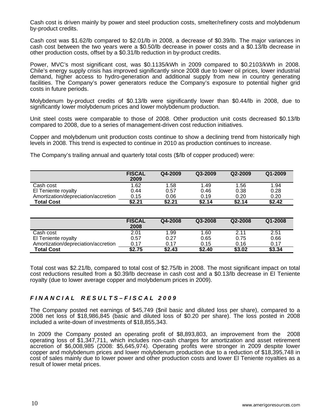Cash cost is driven mainly by power and steel production costs, smelter/refinery costs and molybdenum by-product credits.

Cash cost was \$1.62/lb compared to \$2.01/lb in 2008, a decrease of \$0.39/lb. The major variances in cash cost between the two years were a \$0.50/lb decrease in power costs and a \$0.13/lb decrease in other production costs, offset by a \$0.31/lb reduction in by-product credits.

Power, MVC's most significant cost, was \$0.1135/kWh in 2009 compared to \$0.2103/kWh in 2008. Chile's energy supply crisis has improved significantly since 2008 due to lower oil prices, lower industrial demand, higher access to hydro-generation and additional supply from new in country generating facilities. The Company's power generators reduce the Company's exposure to potential higher grid costs in future periods.

Molybdenum by-product credits of \$0.13/lb were significantly lower than \$0.44/lb in 2008, due to significantly lower molybdenum prices and lower molybdenum production.

Unit steel costs were comparable to those of 2008. Other production unit costs decreased \$0.13/lb compared to 2008, due to a series of management-driven cost reduction initiatives.

Copper and molybdenum unit production costs continue to show a declining trend from historically high levels in 2008. This trend is expected to continue in 2010 as production continues to increase.

The Company's trailing annual and quarterly total costs (\$/lb of copper produced) were:

|                                     | <b>FISCAL</b><br>2009 | Q4-2009 | Q3-2009 | Q2-2009 | Q1-2009 |
|-------------------------------------|-----------------------|---------|---------|---------|---------|
| Cash cost                           | 1.62                  | 1.58    | .49     | 1.56    | 1.94    |
| El Teniente royalty                 | 0.44                  | 0.57    | 0.46    | 0.38    | 0.28    |
| Amortization/depreciation/accretion | 0.15                  | 0.06    | 0.19    | 0.20    | 0.20    |
| <b>Total Cost</b>                   | \$2.21                | \$2.21  | \$2.14  | \$2.14  | \$2.42  |

|                                     | <b>FISCAL</b><br>2008 | Q4-2008 | Q3-2008 | Q2-2008 | Q1-2008 |
|-------------------------------------|-----------------------|---------|---------|---------|---------|
| Cash cost                           | 2.01                  | 1.99    | 1.60    | 2.11    | 2.51    |
| El Teniente royalty                 | 0.57                  | 0.27    | 0.65    | 0.75    | 0.66    |
| Amortization/depreciation/accretion | 0.17                  | 0.17    | 0.15    | 0.16    | 0.17    |
| <b>Total Cost</b>                   | \$2.75                | \$2.43  | \$2.40  | \$3.02  | \$3.34  |

Total cost was \$2.21/lb, compared to total cost of \$2.75/lb in 2008. The most significant impact on total cost reductions resulted from a \$0.39/lb decrease in cash cost and a \$0.13/lb decrease in El Teniente royalty (due to lower average copper and molybdenum prices in 2009).

# *F I N A N C I A L R E S U L T S – F I S C A L 2 0 0 9*

The Company posted net earnings of \$45,749 (\$nil basic and diluted loss per share), compared to a 2008 net loss of \$18,986,845 (basic and diluted loss of \$0.20 per share). The loss posted in 2008 included a write-down of investments of \$18,855,343.

In 2009 the Company posted an operating profit of \$8,893,803, an improvement from the 2008 operating loss of \$1,347,711, which includes non-cash charges for amortization and asset retirement accretion of \$6,008,985 (2008: \$5,645,974). Operating profits were stronger in 2009 despite lower copper and molybdenum prices and lower molybdenum production due to a reduction of \$18,395,748 in cost of sales mainly due to lower power and other production costs and lower El Teniente royalties as a result of lower metal prices.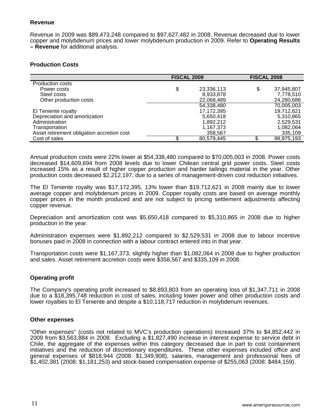# **Revenue**

Revenue in 2009 was \$89,473,248 compared to \$97,627,482 in 2008. Revenue decreased due to lower copper and molybdenum prices and lower molybdenum production in 2009. Refer to **Operating Results – Revenue** for additional analysis.

# **Production Costs**

|                                            | <b>FISCAL 2009</b> | <b>FISCAL 2008</b> |            |
|--------------------------------------------|--------------------|--------------------|------------|
| <b>Production costs</b>                    |                    |                    |            |
| Power costs                                | \$<br>23,336,113   | \$                 | 37,945,807 |
| Steel costs                                | 8,933,878          |                    | 7,778,510  |
| Other production costs                     | 22,068,489         |                    | 24,280,686 |
|                                            | 54,338,480         |                    | 70,005,003 |
| El Teniente royalty                        | 17,172,395         |                    | 19,712,621 |
| Depreciation and amortization              | 5,650,418          |                    | 5,310,865  |
| Administration                             | 1,892,212          |                    | 2,529,531  |
| Transportation                             | 1,167,373          |                    | 1,082,064  |
| Asset retirement obligation accretion cost | 358,567            |                    | 335,109    |
| Cost of sales                              | 80,579,445         |                    | 98,975,193 |

Annual production costs were 22% lower at \$54,338,480 compared to \$70,005,003 in 2008. Power costs decreased \$14,609,694 from 2008 levels due to lower Chilean central grid power costs. Steel costs increased 15% as a result of higher copper production and harder tailings material in the year. Other production costs decreased \$2,212,197, due to a series of management-driven cost reduction initiatives.

The El Teniente royalty was \$17,172,395, 13% lower than \$19,712,621 in 2008 mainly due to lower average copper and molybdenum prices in 2009. Copper royalty costs are based on average monthly copper prices in the month produced and are not subject to pricing settlement adjustments affecting copper revenue.

Depreciation and amortization cost was \$5,650,418 compared to \$5,310,865 in 2008 due to higher production in the year.

Administration expenses were \$1,892,212 compared to \$2,529,531 in 2008 due to labour incentive bonuses paid in 2008 in connection with a labour contract entered into in that year.

Transportation costs were \$1,167,373, slightly higher than \$1,082,064 in 2008 due to higher production and sales. Asset retirement accretion costs were \$358,567 and \$335,109 in 2008.

# **Operating profit**

The Company's operating profit increased to \$8,893,803 from an operating loss of \$1,347,711 in 2008 due to a \$18,395,748 reduction in cost of sales, including lower power and other production costs and lower royalties to El Teniente and despite a \$10,118,717 reduction in molybdenum revenues.

## **Other expenses**

"Other expenses" (costs not related to MVC's production operations) increased 37% to \$4,852,442 in 2009 from \$3,563,884 in 2008. Excluding a \$1,827,490 increase in interest expense to service debt in Chile, the aggregate of the expenses within this category decreased due in part to cost containment initiatives and the reduction of discretionary expenditures. These other expenses included office and general expenses of \$818,944 (2008: \$1,349,908), salaries, management and professional fees of \$1,402,381 (2008: \$1,181,253) and stock-based compensation expense of \$255,063 (2008: \$484,159).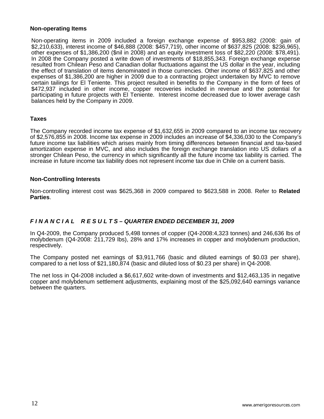#### **Non-operating Items**

Non-operating items in 2009 included a foreign exchange expense of \$953,882 (2008: gain of \$2,210,633), interest income of \$46,888 (2008: \$457,719), other income of \$637,825 (2008: \$236,965), other expenses of \$1,386,200 (\$nil in 2008) and an equity investment loss of \$82,220 (2008: \$78,491). In 2008 the Company posted a write down of investments of \$18,855,343. Foreign exchange expense resulted from Chilean Peso and Canadian dollar fluctuations against the US dollar in the year, including the effect of translation of items denominated in those currencies. Other income of \$637,825 and other expenses of \$1,386,200 are higher in 2009 due to a contracting project undertaken by MVC to remove certain tailings for El Teniente. This project resulted in benefits to the Company in the form of fees of \$472,937 included in other income, copper recoveries included in revenue and the potential for participating in future projects with El Teniente. Interest income decreased due to lower average cash balances held by the Company in 2009.

# **Taxes**

The Company recorded income tax expense of \$1,632,655 in 2009 compared to an income tax recovery of \$2,576,855 in 2008. Income tax expense in 2009 includes an increase of \$4,336,030 to the Company's future income tax liabilities which arises mainly from timing differences between financial and tax-based amortization expense in MVC, and also includes the foreign exchange translation into US dollars of a stronger Chilean Peso, the currency in which significantly all the future income tax liability is carried. The increase in future income tax liability does not represent income tax due in Chile on a current basis.

## **Non-Controlling Interests**

Non-controlling interest cost was \$625,368 in 2009 compared to \$623,588 in 2008. Refer to **Related Parties**.

# *F I N A N C I A L R E S U L T S – QUARTER ENDED DECEMBER 31, 2009*

In Q4-2009, the Company produced 5,498 tonnes of copper (Q4-2008:4,323 tonnes) and 246,636 lbs of molybdenum (Q4-2008: 211,729 lbs), 28% and 17% increases in copper and molybdenum production, respectively.

The Company posted net earnings of \$3,911,766 (basic and diluted earnings of \$0.03 per share), compared to a net loss of \$21,180,874 (basic and diluted loss of \$0.23 per share) in Q4-2008.

The net loss in Q4-2008 included a \$6,617,602 write-down of investments and \$12,463,135 in negative copper and molybdenum settlement adjustments, explaining most of the \$25,092,640 earnings variance between the quarters.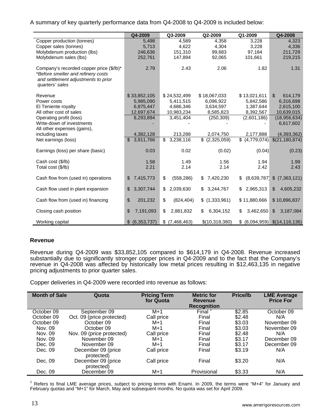A summary of key quarterly performance data from Q4-2008 to Q4-2009 is included below:

|                                                                                                                                          | Q4-2009                     | Q3-2009                              | Q2-2009            | Q1-2009            | Q4-2008                        |
|------------------------------------------------------------------------------------------------------------------------------------------|-----------------------------|--------------------------------------|--------------------|--------------------|--------------------------------|
| Copper production (tonnes)                                                                                                               | 5,498                       | 4.589                                | 4.358              | 3,228              | 4,323                          |
| Copper sales (tonnes)                                                                                                                    | 5,713                       | 4,622                                | 4,304              | 3,228              | 4,336                          |
| Molybdenum production (lbs)                                                                                                              | 246,636                     | 151,310                              | 99,683             | 97,184             | 211,729                        |
| Molybdenum sales (lbs)                                                                                                                   | 252,761                     | 147,894                              | 92,065             | 101,661            | 219,215                        |
| Company's recorded copper price (\$/lb)*<br>*Before smelter and refinery costs<br>and settlement adjustments to prior<br>quarters' sales | 2.79                        | 2.43                                 | 2.06               | 1.82               | 1.31                           |
| Revenue                                                                                                                                  | \$33,852,105                | \$24,532,499                         | \$18,067,033       | \$13,021,611       | $\mathbb{S}$<br>614,179        |
| Power costs                                                                                                                              | 5,985,090                   | 5,411,515                            | 6,096,922          | 5,842,586          | 6,316,698                      |
| El Teniente royalty                                                                                                                      | 6,875,447                   | 4,686,346                            | 3,634,597          | 1,387,644          | 2,615,100                      |
| All other cost of sales                                                                                                                  | 12,697,674                  | 10,983,234                           | 8,585,823          | 8,392,567          | 10,639,015                     |
| Operating profit (loss)                                                                                                                  | 8,293,894                   | 3,451,404                            | (250, 309)         | (2,601,186)        | (18, 956, 634)                 |
| Write-down of investments                                                                                                                |                             |                                      |                    |                    | 6,617,602                      |
| All other expenses (gains),                                                                                                              |                             |                                      |                    |                    |                                |
| including taxes                                                                                                                          | 4,382,128                   | 213,288                              | 2,074,750          | 2,177,888          | (4,393,362)                    |
| Net earnings (loss)                                                                                                                      | $\mathfrak{S}$<br>3,911,766 | 3,238,116<br>$\overline{\mathbb{S}}$ | $\sqrt{2,325,059}$ | $\sqrt{4,779,074}$ | \$(21, 180, 874)               |
| Earnings (loss) per share (basic)                                                                                                        | 0.03                        | 0.02                                 | (0.02)             | (0.04)             | (0.23)                         |
| Cash cost (\$/lb)                                                                                                                        | 1.58                        | 1.49                                 | 1.56               | 1.94               | 1.99                           |
| Total cost (\$/lb)                                                                                                                       | 2.21                        | 2.14                                 | 2.14               | 2.42               | 2.43                           |
| Cash flow from (used in) operations                                                                                                      | 7,415,773<br>\$             | \$<br>(558, 286)                     | \$<br>7,420,230    | \$                 | $(8,639,787)$ \$ $(7,363,121)$ |
| Cash flow used in plant expansion                                                                                                        | 3,307,744<br>\$             | \$<br>2,039,630                      | \$<br>3,244,767    | 2,965,313          | $\frac{1}{2}$<br>4,605,232     |
| Cash flow from (used in) financing                                                                                                       | \$<br>201,232               | \$<br>(824, 404)                     | \$(1,333,961)      | \$11,880,666       | \$10,896,837                   |
| Closing cash position                                                                                                                    | \$<br>7,191,093             | \$<br>2,881,832                      | 6,304,152<br>\$    | \$<br>3,462,650    | $\mathbb{S}$<br>3,187,084      |
| Working capital                                                                                                                          | \$ (6,353,737)              | $$$ (7,468,463)                      | \$(10,318,380)     |                    | $(8,094,959)$ $(14,116,136)$   |

# **Revenue**

Revenue during Q4-2009 was \$33,852,105 compared to \$614,179 in Q4-2008. Revenue increased substantially due to significantly stronger copper prices in Q4-2009 and to the fact that the Company's revenue in Q4-2008 was affected by historically low metal prices resulting in \$12,463,135 in negative pricing adjustments to prior quarter sales.

Copper deliveries in Q4-2009 were recorded into revenue as follows:

| <b>Month of Sale</b> | Quota                            | <b>Pricing Term</b><br>for Quota | <b>Metric for</b><br>Revenue<br><b>Recognition</b> | <b>Price/lb</b> | <b>LME Average</b><br><b>Price For</b> |
|----------------------|----------------------------------|----------------------------------|----------------------------------------------------|-----------------|----------------------------------------|
| October 09           | September 09                     | $M+1$                            | Final                                              | \$2.85          | October 09                             |
| October 09           | Oct. 09 (price protected)        | Call price                       | Final                                              | \$2.48          | N/A                                    |
| October 09           | October 09                       | M+1                              | Final                                              | \$3.03          | November 09                            |
| Nov. 09              | October 09                       | $M+1$                            | Final                                              | \$3.03          | November 09                            |
| Nov. 09              | Nov. 09 (price protected)        | Call price                       | Final                                              | \$2.48          | N/A                                    |
| Nov. 09              | November 09                      | $M+1$                            | Final                                              | \$3.17          | December 09                            |
| Dec. 09              | November 09                      | $M+1$                            | Final                                              | \$3.17          | December 09                            |
| Dec. 09              | December 09 (price<br>protected) | Call price                       | Final                                              | \$3.19          | N/A                                    |
| Dec. 09              | December 09 (price<br>protected) | Call price                       | Final                                              | \$3.20          | N/A                                    |
| Dec. 09              | December 09                      | $M+1$                            | Provisional                                        | \$3.33          | N/A                                    |

<sup>1</sup> Refers to final LME average prices, subject to pricing terms with Enami. In 2009, the terms were "M+4" for January and February quotas and "M+1" for March, May and subsequent months. No quota was set for April 2009.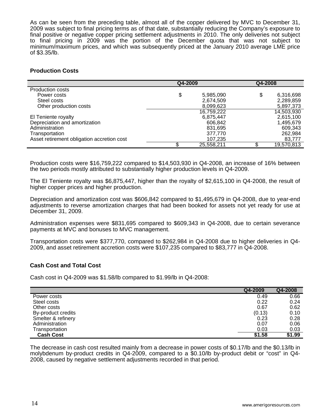As can be seen from the preceding table, almost all of the copper delivered by MVC to December 31, 2009 was subject to final pricing terms as of that date, substantially reducing the Company's exposure to final positive or negative copper pricing settlement adjustments in 2010. The only deliveries not subject to final pricing in 2009 was the portion of the December quota that was not subject to minimum/maximum prices, and which was subsequently priced at the January 2010 average LME price of \$3.35/lb.

# **Production Costs**

|                                            | Q4-2009 |            | Q4-2008 |            |
|--------------------------------------------|---------|------------|---------|------------|
| Production costs                           |         |            |         |            |
| Power costs                                | \$      | 5,985,090  |         | 6,316,698  |
| Steel costs                                |         | 2,674,509  |         | 2,289,859  |
| Other production costs                     |         | 8,099,623  |         | 5,897,373  |
|                                            |         | 16,759,222 |         | 14,503,930 |
| El Teniente royalty                        |         | 6,875,447  |         | 2,615,100  |
| Depreciation and amortization              |         | 606,842    |         | 1,495,679  |
| Administration                             |         | 831,695    |         | 609,343    |
| Transportation                             |         | 377,770    |         | 262,984    |
| Asset retirement obligation accretion cost |         | 107,235    |         | 83,777     |
|                                            |         | 25,558,211 |         | 19,570,813 |

Production costs were \$16,759,222 compared to \$14,503,930 in Q4-2008, an increase of 16% between the two periods mostly attributed to substantially higher production levels in Q4-2009.

The El Teniente royalty was \$6,875,447, higher than the royalty of \$2,615,100 in Q4-2008, the result of higher copper prices and higher production.

Depreciation and amortization cost was \$606,842 compared to \$1,495,679 in Q4-2008, due to year-end adjustments to reverse amortization charges that had been booked for assets not yet ready for use at December 31, 2009.

Administration expenses were \$831,695 compared to \$609,343 in Q4-2008, due to certain severance payments at MVC and bonuses to MVC management.

Transportation costs were \$377,770, compared to \$262,984 in Q4-2008 due to higher deliveries in Q4- 2009, and asset retirement accretion costs were \$107,235 compared to \$83,777 in Q4-2008.

## **Cash Cost and Total Cost**

Cash cost in Q4-2009 was \$1.58/lb compared to \$1.99/lb in Q4-2008:

|                    | Q4-2009 | Q4-2008 |
|--------------------|---------|---------|
| Power costs        | 0.49    | 0.66    |
| Steel costs        | 0.22    | 0.24    |
| Other costs        | 0.67    | 0.62    |
| By-product credits | (0.13)  | 0.10    |
| Smelter & refinery | 0.23    | 0.28    |
| Administration     | 0.07    | 0.06    |
| Transportation     | 0.03    | 0.03    |
| <b>Cash Cost</b>   | \$1.58  | \$1.99  |

The decrease in cash cost resulted mainly from a decrease in power costs of \$0.17/lb and the \$0.13/lb in molybdenum by-product credits in Q4-2009, compared to a \$0.10/lb by-product debit or "cost" in Q4- 2008, caused by negative settlement adjustments recorded in that period.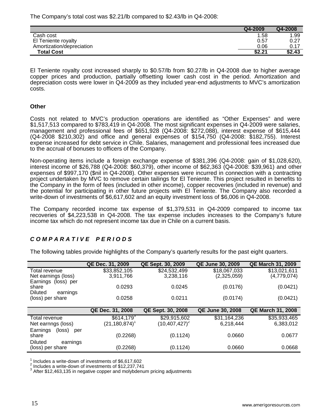The Company's total cost was \$2.21/lb compared to \$2.43/lb in Q4-2008:

|                           | Q4-2009 | Q4-2008 |
|---------------------------|---------|---------|
| Cash cost                 | 1.58    | 1.99    |
| El Teniente royalty       | 0.57    | 0.27    |
| Amortization/depreciation | 0.06    | 0.17    |
| <b>Total Cost</b>         | \$2.21  | \$2.43  |

El Teniente royalty cost increased sharply to \$0.57/lb from \$0.27/lb in Q4-2008 due to higher average copper prices and production, partially offsetting lower cash cost in the period. Amortization and depreciation costs were lower in Q4-2009 as they included year-end adjustments to MVC's amortization costs.

# **Other**

Costs not related to MVC's production operations are identified as "Other Expenses" and were \$1,517,513 compared to \$783,419 in Q4-2008. The most significant expenses in Q4-2009 were salaries, management and professional fees of \$651,928 (Q4-2008: \$272,088), interest expense of \$615,444 (Q4-2008 \$210,302) and office and general expenses of \$154,750 (Q4-2008: \$182,755). Interest expense increased for debt service in Chile. Salaries, management and professional fees increased due to the accrual of bonuses to officers of the Company.

Non-operating items include a foreign exchange expense of \$381,396 (Q4-2008: gain of \$1,028,620), interest income of \$26,788 (Q4-2008: \$60,379), other income of \$62,363 (Q4-2008: \$39,961) and other expenses of \$997,170 (\$nil in Q4-2008). Other expenses were incurred in connection with a contracting project undertaken by MVC to remove certain tailings for El Teniente. This project resulted in benefits to the Company in the form of fees (included in other income), copper recoveries (included in revenue) and the potential for participating in other future projects with El Teniente. The Company also recorded a write-down of investments of \$6,617,602 and an equity investment loss of \$6,006 in Q4-2008.

The Company recorded income tax expense of \$1,379,531 in Q4-2009 compared to income tax recoveries of \$4,223,538 in Q4-2008. The tax expense includes increases to the Company's future income tax which do not represent income tax due in Chile on a current basis.

# *C O M P A R A T I V E P E R I O D S*

The following tables provide highlights of the Company's quarterly results for the past eight quarters.

|                                                | QE Dec. 31, 2009              | QE Sept. 30, 2009  | <b>QE June 30, 2009</b> | <b>QE March 31, 2009</b> |
|------------------------------------------------|-------------------------------|--------------------|-------------------------|--------------------------|
| Total revenue                                  | \$33,852,105                  | \$24,532,499       | \$18,067,033            | \$13,021,611             |
| Net earnings (loss)                            | 3,911,766                     | 3,238,116          | (2,325,059)             | (4,779,074)              |
| Earnings (loss) per<br>share                   | 0.0293                        | 0.0245             | (0.0176)                | (0.0421)                 |
| <b>Diluted</b><br>earnings                     |                               |                    |                         |                          |
| (loss) per share                               | 0.0258                        | 0.0211             | (0.0174)                | (0.0421)                 |
|                                                |                               |                    |                         |                          |
|                                                | QE Dec. 31, 2008              | QE Sept. 30, 2008  | <b>QE June 30, 2008</b> | <b>QE March 31, 2008</b> |
| Total revenue                                  | $$614,179$ <sup>3</sup>       | \$29,915,602       | \$31,164,236            | \$35,933,465             |
|                                                |                               |                    |                         |                          |
| Net earnngs (loss)                             | $(21, 180, 874)$ <sup>1</sup> | $(10, 407, 427)^2$ | 6,218,444               | 6,383,012                |
| Earnings<br>(loss)<br>per                      |                               |                    |                         |                          |
| share                                          | (0.2268)                      | (0.1124)           | 0.0660                  | 0.0677                   |
| <b>Diluted</b><br>earnings<br>(loss) per share | (0.2268)                      | (0.1124)           | 0.0660                  | 0.0668                   |

<sup>1</sup> Includes a write-down of investments of  $$6,617,602$ <br> $^2$  leakides a write down of investments of  $$42,227,744$ 

 $\frac{2}{3}$  Includes a write-down of investments of \$12,237,741

After \$12,463,135 in negative copper and molybdenum pricing adjustments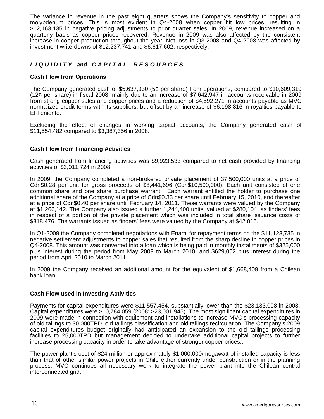The variance in revenue in the past eight quarters shows the Company's sensitivity to copper and molybdenum prices. This is most evident in Q4-2008 when copper hit low prices, resulting in \$12,163,135 in negative pricing adjustments to prior quarter sales. In 2009, revenue increased on a quarterly basis as copper prices recovered. Revenue in 2009 was also affected by the consistent increase in copper production throughout the year. Net loss in Q3-2008 and Q4-2008 was affected by investment write-downs of \$12,237,741 and \$6,617,602, respectively.

# *L I Q U I D I T Y and C A P I T A L R E S O U R C E S*

## **Cash Flow from Operations**

The Company generated cash of \$5,637,930 (5¢ per share) from operations, compared to \$10,609,319 (12¢ per share) in fiscal 2008, mainly due to an increase of \$7,642,947 in accounts receivable in 2009 from strong copper sales and copper prices and a reduction of \$4,592,271 in accounts payable as MVC normalized credit terms with its suppliers, but offset by an increase of \$6,198,816 in royalties payable to El Teniente.

Excluding the effect of changes in working capital accounts, the Company generated cash of \$11,554,482 compared to \$3,387,356 in 2008.

## **Cash Flow from Financing Activities**

Cash generated from financing activities was \$9,923,533 compared to net cash provided by financing activities of \$3,011,724 in 2008.

In 2009, the Company completed a non-brokered private placement of 37,500,000 units at a price of Cdn\$0.28 per unit for gross proceeds of \$8,441,696 (Cdn\$10,500,000). Each unit consisted of one common share and one share purchase warrant. Each warrant entitled the holder to purchase one additional share of the Company at a price of Cdn\$0.33 per share until February 15, 2010, and thereafter at a price of Cdn\$0.40 per share until February 14, 2011. These warrants were valued by the Company at \$1,266,142. The Company also issued a further 1,244,400 units, valued at \$280,104, as finders' fees in respect of a portion of the private placement which was included in total share issuance costs of \$318,476. The warrants issued as finders' fees were valued by the Company at \$42,016.

In Q1-2009 the Company completed negotiations with Enami for repayment terms on the \$11,123,735 in negative settlement adjustments to copper sales that resulted from the sharp decline in copper prices in Q4-2008. This amount was converted into a loan which is being paid in monthly installments of \$325,000 plus interest during the period from May 2009 to March 2010, and \$629,052 plus interest during the period from April 2010 to March 2011.

In 2009 the Company received an additional amount for the equivalent of \$1,668,409 from a Chilean bank loan.

## **Cash Flow used in Investing Activities**

Payments for capital expenditures were \$11,557,454, substantially lower than the \$23,133,008 in 2008. Capital expenditures were \$10,784,059 (2008: \$23,001,945). The most significant capital expenditures in 2009 were made in connection with equipment and installations to increase MVC's processing capacity of old tailings to 30,000TPD, old tailings classification and old tailings recirculation. The Company's 2009 capital expenditures budget originally had anticipated an expansion to the old tailings processing facilities to 25,000TPD but management decided to undertake additional capital projects to further increase processing capacity in order to take advantage of stronger copper prices,.

The power plant's cost of \$24 million or approximately \$1,000,000/megawatt of installed capacity is less than that of other similar power projects in Chile either currently under construction or in the planning process. MVC continues all necessary work to integrate the power plant into the Chilean central interconnected grid.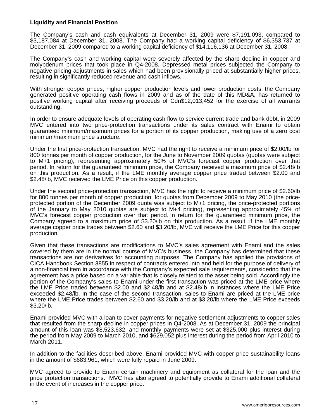## **Liquidity and Financial Position**

The Company's cash and cash equivalents at December 31, 2009 were \$7,191,093, compared to \$3,187,084 at December 31, 2008. The Company had a working capital deficiency of \$6,353,737 at December 31, 2009 compared to a working capital deficiency of \$14,116,136 at December 31, 2008.

The Company's cash and working capital were severely affected by the sharp decline in copper and molybdenum prices that took place in Q4-2008. Depressed metal prices subjected the Company to negative pricing adjustments in sales which had been provisionally priced at substantially higher prices, resulting in significantly reduced revenue and cash inflows. .

With stronger copper prices, higher copper production levels and lower production costs, the Company generated positive operating cash flows in 2009 and as of the date of this MD&A, has returned to positive working capital after receiving proceeds of Cdn\$12,013,452 for the exercise of all warrants outstanding.

In order to ensure adequate levels of operating cash flow to service current trade and bank debt, in 2009 MVC entered into two price-protection transactions under its sales contract with Enami to obtain guaranteed minimum/maximum prices for a portion of its copper production, making use of a zero cost minimum/maximum price structure.

Under the first price-protection transaction, MVC had the right to receive a minimum price of \$2.00/lb for 800 tonnes per month of copper production, for the June to November 2009 quotas (quotas were subject to M+1 pricing), representing approximately 50% of MVC's forecast copper production over that period. In return for the guaranteed minimum price, the Company received a maximum price of \$2.48/lb on this production. As a result, if the LME monthly average copper price traded between \$2.00 and \$2.48/lb, MVC received the LME Price on this copper production.

Under the second price-protection transaction, MVC has the right to receive a minimum price of \$2.60/lb for 800 tonnes per month of copper production, for quotas from December 2009 to May 2010 (the priceprotected portion of the December 2009 quota was subject to M+1 pricing, the price-protected portions of the January to May 2010 quotas are subject to M+4 pricing), representing approximately 45% of MVC's forecast copper production over that period. In return for the guaranteed minimum price, the Company agreed to a maximum price of \$3.20/lb on this production. As a result, if the LME monthly average copper price trades between \$2.60 and \$3.20/lb, MVC will receive the LME Price for this copper production.

Given that these transactions are modifications to MVC's sales agreement with Enami and the sales covered by them are in the normal course of MVC's business, the Company has determined that these transactions are not derivatives for accounting purposes. The Company has applied the provisions of CICA Handbook Section 3855 in respect of contracts entered into and held for the purpose of delivery of a non-financial item in accordance with the Company's expected sale requirements, considering that the agreement has a price based on a variable that is closely related to the asset being sold. Accordingly the portion of the Company's sales to Enami under the first transaction was priced at the LME price where the LME Price traded between \$2.00 and \$2.48/lb and at \$2.48/lb in instances where the LME Price exceeded \$2.48/lb. In the case of the second transaction, sales to Enami are priced at the LME price where the LME Price trades between \$2.60 and \$3.20/lb and at \$3.20/lb where the LME Price exceeds \$3.20/lb.

Enami provided MVC with a loan to cover payments for negative settlement adjustments to copper sales that resulted from the sharp decline in copper prices in Q4-2008. As at December 31, 2009 the principal amount of this loan was \$8,523,632, and monthly payments were set at \$325,000 plus interest during the period from May 2009 to March 2010, and \$629,052 plus interest during the period from April 2010 to March 2011.

In addition to the facilities described above, Enami provided MVC with copper price sustainability loans in the amount of \$683,961, which were fully repaid in June 2009.

MVC agreed to provide to Enami certain machinery and equipment as collateral for the loan and the price protection transactions. MVC has also agreed to potentially provide to Enami additional collateral in the event of increases in the copper price.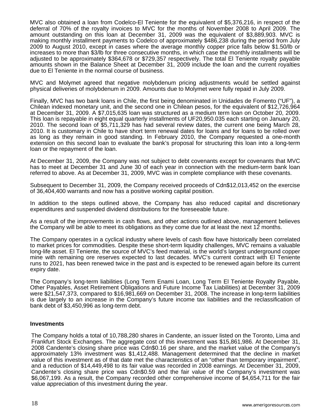MVC also obtained a loan from Codelco-El Teniente for the equivalent of \$5,376,216, in respect of the deferral of 70% of the royalty invoices to MVC for the months of November 2008 to April 2009. The amount outstanding on this loan at December 31, 2009 was the equivalent of \$3,889,903. MVC is making monthly installment payments to Codelco of approximately \$486,238 during the period from July 2009 to August 2010, except in cases where the average monthly copper price falls below \$1.50/lb or increases to more than \$3/lb for three consecutive months, in which case the monthly installments will be adjusted to be approximately \$364,678 or \$729,357 respectively. The total El Teniente royalty payable amounts shown in the Balance Sheet at December 31, 2009 include the loan and the current royalties due to El Teniente in the normal course of business.

MVC and Molymet agreed that negative molybdenum pricing adjustments would be settled against physical deliveries of molybdenum in 2009. Amounts due to Molymet were fully repaid in July 2009.

Finally, MVC has two bank loans in Chile, the first being denominated in Unidades de Fomento ("UF"), a Chilean indexed monetary unit, and the second one in Chilean pesos, for the equivalent of \$12,726,964 at December 31, 2009. A \$7,015,635 loan was structured as a medium term loan on October 20, 2009. This loan is repayable in eight equal quarterly installments of UF20,950.035 each starting on January 20, 2010. The second loan of \$5,711,329 has had several review dates, the current one being March 28, 2010. It is customary in Chile to have short term renewal dates for loans and for loans to be rolled over as long as they remain in good standing. In February 2010, the Company requested a one-month extension on this second loan to evaluate the bank's proposal for structuring this loan into a long-term loan or the repayment of the loan.

At December 31, 2009, the Company was not subject to debt covenants except for covenants that MVC has to meet at December 31 and June 30 of each year in connection with the medium-term bank loan referred to above. As at December 31, 2009, MVC was in complete compliance with these covenants.

Subsequent to December 31, 2009, the Company received proceeds of Cdn\$12,013,452 on the exercise of 36,404,400 warrants and now has a positive working capital position.

In addition to the steps outlined above, the Company has also reduced capital and discretionary expenditures and suspended dividend distributions for the foreseeable future.

As a result of the improvements in cash flows, and other actions outlined above, management believes the Company will be able to meet its obligations as they come due for at least the next 12 months.

The Company operates in a cyclical industry where levels of cash flow have historically been correlated to market prices for commodities. Despite these short-term liquidity challenges, MVC remains a valuable long-life asset. El Teniente, the source of MVC's feed material, is the world's largest underground copper mine with remaining ore reserves expected to last decades. MVC's current contract with El Teniente runs to 2021, has been renewed twice in the past and is expected to be renewed again before its current expiry date.

The Company's long-term liabilities (Long Term Enami Loan, Long Term El Teniente Royalty Payable, Other Payables, Asset Retirement Obligations and Future Income Tax Liabilities) at December 31, 2009 were \$21,547,373, compared to \$16,981,669 on December 31, 2008. The increase in long-term liabilities is due largely to an increase in the Company's future income tax liabilities and the reclassification of bank debt of \$3,450,996 as long-term debt.

#### **Investments**

The Company holds a total of 10,788,280 shares in Candente, an issuer listed on the Toronto, Lima and Frankfurt Stock Exchanges. The aggregate cost of this investment was \$15,861,986. At December 31, 2008 Candente's closing share price was Cdn\$0.16 per share, and the market value of the Company's approximately 13% investment was \$1,412,488. Management determined that the decline in market value of this investment as of that date met the characteristics of an "other than temporary impairment", and a reduction of \$14,449,498 to its fair value was recorded in 2008 earnings. At December 31, 2009, Candente's closing share price was Cdn\$0.59 and the fair value of the Company's investment was \$6,067,199. As a result, the Company recorded other comprehensive income of \$4,654,711 for the fair value appreciation of this investment during the year.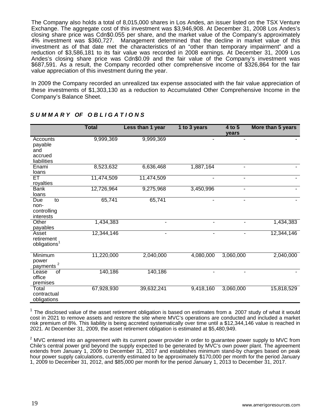The Company also holds a total of 8,015,000 shares in Los Andes, an issuer listed on the TSX Venture Exchange. The aggregate cost of this investment was \$3,946,908. At December 31, 2008 Los Andes's closing share price was Cdn\$0.055 per share, and the market value of the Company's approximately 4% investment was \$360,727. Management determined that the decline in market value of this investment as of that date met the characteristics of an "other than temporary impairment" and a reduction of \$3,586,181 to its fair value was recorded in 2008 earnings. At December 31, 2009 Los Andes's closing share price was Cdn\$0.09 and the fair value of the Company's investment was \$687,591. As a result, the Company recorded other comprehensive income of \$326,864 for the fair value appreciation of this investment during the year.

In 2009 the Company recorded an unrealized tax expense associated with the fair value appreciation of these investments of \$1,303,130 as a reduction to Accumulated Other Comprehensive Income in the Company's Balance Sheet.

|                                                            | <b>Total</b> | Less than 1 year         | 1 to 3 years | 4 to 5<br>vears | More than 5 years |
|------------------------------------------------------------|--------------|--------------------------|--------------|-----------------|-------------------|
| Accounts<br>payable<br>and<br>accrued<br>liabilities       | 9,999,369    | 9,999,369                |              |                 |                   |
| Enami<br>loans                                             | 8,523,632    | 6,636,468                | 1,887,164    | ۰               |                   |
| ET<br>royalties                                            | 11,474,509   | 11,474,509               | ۰            | ٠               |                   |
| <b>Bank</b><br>loans                                       | 12,726,964   | 9,275,968                | 3,450,996    | $\blacksquare$  |                   |
| $\overline{10}$<br>Due<br>non-<br>controlling<br>interests | 65,741       | 65,741                   |              |                 |                   |
| Other<br>payables                                          | 1,434,383    |                          |              |                 | 1,434,383         |
| Asset<br>retirement<br>obligations <sup>1</sup>            | 12,344,146   | $\overline{\phantom{0}}$ |              |                 | 12,344,146        |
| Minimum<br>power<br>2<br>payments                          | 11,220,000   | 2,040,000                | 4,080,000    | 3,060,000       | 2,040,000         |
| of<br>Lease<br>office<br>premises                          | 140,186      | 140,186                  |              |                 |                   |
| Total<br>contractual<br>obligations                        | 67,928,930   | 39,632,241               | 9,418,160    | 3,060,000       | 15,818,529        |

# *S U M M A R Y OF O B L I G A T I O N S*

 $1$  The disclosed value of the asset retirement obligation is based on estimates from a 2007 study of what it would cost in 2021 to remove assets and restore the site where MVC's operations are conducted and included a market risk premium of 8%. This liability is being accreted systematically over time until a \$12,344,146 value is reached in 2021. At December 31, 2009, the asset retirement obligation is estimated at \$5,480,949.

 $2$  MVC entered into an agreement with its current power provider in order to guarantee power supply to MVC from Chile's central power grid beyond the supply expected to be generated by MVC's own power plant. The agreement extends from January 1, 2009 to December 31, 2017 and establishes minimum stand-by charges based on peak hour power supply calculations, currently estimated to be approximately \$170,000 per month for the period January 1, 2009 to December 31, 2012, and \$85,000 per month for the period January 1, 2013 to December 31, 2017.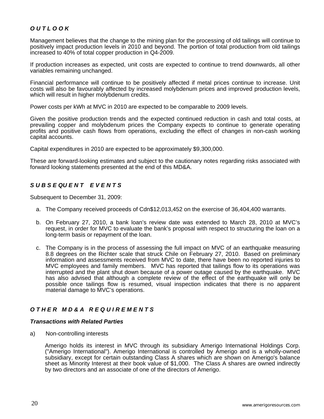# *O U T L O O K*

Management believes that the change to the mining plan for the processing of old tailings will continue to positively impact production levels in 2010 and beyond. The portion of total production from old tailings increased to 40% of total copper production in Q4-2009.

If production increases as expected, unit costs are expected to continue to trend downwards, all other variables remaining unchanged.

Financial performance will continue to be positively affected if metal prices continue to increase. Unit costs will also be favourably affected by increased molybdenum prices and improved production levels, which will result in higher molybdenum credits.

Power costs per kWh at MVC in 2010 are expected to be comparable to 2009 levels.

Given the positive production trends and the expected continued reduction in cash and total costs, at prevailing copper and molybdenum prices the Company expects to continue to generate operating profits and positive cash flows from operations, excluding the effect of changes in non-cash working capital accounts.

Capital expenditures in 2010 are expected to be approximately \$9,300,000.

These are forward-looking estimates and subject to the cautionary notes regarding risks associated with forward looking statements presented at the end of this MD&A.

# *S U B S E QU E N T E V E N T S*

Subsequent to December 31, 2009:

- a. The Company received proceeds of Cdn\$12,013,452 on the exercise of 36,404,400 warrants.
- b. On February 27, 2010, a bank loan's review date was extended to March 28, 2010 at MVC's request, in order for MVC to evaluate the bank's proposal with respect to structuring the loan on a long-term basis or repayment of the loan.
- c. The Company is in the process of assessing the full impact on MVC of an earthquake measuring 8.8 degrees on the Richter scale that struck Chile on February 27, 2010. Based on preliminary information and assessments received from MVC to date, there have been no reported injuries to MVC employees and family members. MVC has reported that tailings flow to its operations was interrupted and the plant shut down because of a power outage caused by the earthquake. MVC has also advised that although a complete review of the effect of the earthquake will only be possible once tailings flow is resumed, visual inspection indicates that there is no apparent material damage to MVC's operations.

# *O T H E R M D & A R E Q U I R E M E N T S*

#### *Transactions with Related Parties*

a) Non-controlling interests

Amerigo holds its interest in MVC through its subsidiary Amerigo International Holdings Corp. ("Amerigo International"). Amerigo International is controlled by Amerigo and is a wholly-owned subsidiary, except for certain outstanding Class A shares which are shown on Amerigo's balance sheet as Minority Interest at their book value of \$1,000. The Class A shares are owned indirectly by two directors and an associate of one of the directors of Amerigo.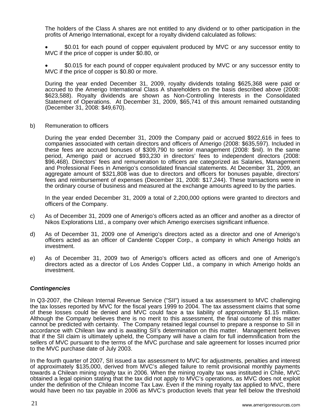The holders of the Class A shares are not entitled to any dividend or to other participation in the profits of Amerigo International, except for a royalty dividend calculated as follows:

• \$0.01 for each pound of copper equivalent produced by MVC or any successor entity to MVC if the price of copper is under \$0.80, or

• \$0.015 for each pound of copper equivalent produced by MVC or any successor entity to MVC if the price of copper is \$0.80 or more.

During the year ended December 31, 2009, royalty dividends totaling \$625,368 were paid or accrued to the Amerigo International Class A shareholders on the basis described above (2008: \$623,588). Royalty dividends are shown as Non-Controlling Interests in the Consolidated Statement of Operations. At December 31, 2009, \$65,741 of this amount remained outstanding (December 31, 2008: \$49,670).

b) Remuneration to officers

During the year ended December 31, 2009 the Company paid or accrued \$922,616 in fees to companies associated with certain directors and officers of Amerigo (2008: \$635,597). Included in these fees are accrued bonuses of \$309,790 to senior management (2008: \$nil). In the same period, Amerigo paid or accrued \$93,230 in directors' fees to independent directors (2008: \$96,468). Directors' fees and remuneration to officers are categorized as Salaries, Management and Professional Fees in Amerigo's consolidated financial statements. At December 31, 2009, an aggregate amount of \$321,808 was due to directors and officers for bonuses payable, directors' fees and reimbursement of expenses (December 31, 2008: \$17,244). These transactions were in the ordinary course of business and measured at the exchange amounts agreed to by the parties.

In the year ended December 31, 2009 a total of 2,200,000 options were granted to directors and officers of the Company.

- c) As of December 31, 2009 one of Amerigo's officers acted as an officer and another as a director of Nikos Explorations Ltd., a company over which Amerigo exercises significant influence.
- d) As of December 31, 2009 one of Amerigo's directors acted as a director and one of Amerigo's officers acted as an officer of Candente Copper Corp., a company in which Amerigo holds an investment.
- e) As of December 31, 2009 two of Amerigo's officers acted as officers and one of Amerigo's directors acted as a director of Los Andes Copper Ltd., a company in which Amerigo holds an investment.

## *Contingencies*

In Q3-2007, the Chilean Internal Revenue Service ("SII") issued a tax assessment to MVC challenging the tax losses reported by MVC for the fiscal years 1999 to 2004. The tax assessment claims that some of these losses could be denied and MVC could face a tax liability of approximately \$1.15 million. Although the Company believes there is no merit to this assessment, the final outcome of this matter cannot be predicted with certainty. The Company retained legal counsel to prepare a response to SII in accordance with Chilean law and is awaiting SII's determination on this matter. Management believes that if the SII claim is ultimately upheld, the Company will have a claim for full indemnification from the sellers of MVC pursuant to the terms of the MVC purchase and sale agreement for losses incurred prior to the MVC purchase date of July 2003.

In the fourth quarter of 2007, SII issued a tax assessment to MVC for adjustments, penalties and interest of approximately \$135,000, derived from MVC's alleged failure to remit provisional monthly payments towards a Chilean mining royalty tax in 2006. When the mining royalty tax was instituted in Chile, MVC obtained a legal opinion stating that the tax did not apply to MVC's operations, as MVC does not exploit under the definition of the Chilean Income Tax Law. Even if the mining royalty tax applied to MVC, there would have been no tax payable in 2006 as MVC's production levels that year fell below the threshold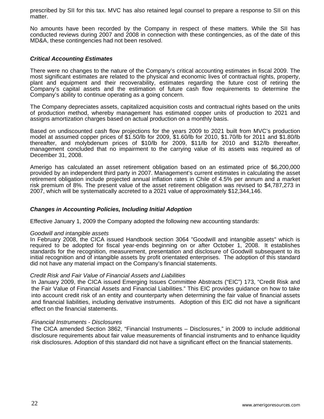prescribed by SII for this tax. MVC has also retained legal counsel to prepare a response to SII on this matter.

No amounts have been recorded by the Company in respect of these matters. While the SII has conducted reviews during 2007 and 2008 in connection with these contingencies, as of the date of this MD&A, these contingencies had not been resolved.

## *Critical Accounting Estimates*

There were no changes to the nature of the Company's critical accounting estimates in fiscal 2009. The most significant estimates are related to the physical and economic lives of contractual rights, property, plant and equipment and their recoverability, estimates regarding the future cost of retiring the Company's capital assets and the estimation of future cash flow requirements to determine the Company's ability to continue operating as a going concern.

The Company depreciates assets, capitalized acquisition costs and contractual rights based on the units of production method, whereby management has estimated copper units of production to 2021 and assigns amortization charges based on actual production on a monthly basis.

Based on undiscounted cash flow projections for the years 2009 to 2021 built from MVC's production model at assumed copper prices of \$1.50/lb for 2009, \$1.60/lb for 2010, \$1.70/lb for 2011 and \$1.80/lb thereafter, and molybdenum prices of \$10/lb for 2009, \$11/lb for 2010 and \$12/lb thereafter, management concluded that no impairment to the carrying value of its assets was required as of December 31, 2008.

Amerigo has calculated an asset retirement obligation based on an estimated price of \$6,200,000 provided by an independent third party in 2007. Management's current estimates in calculating the asset retirement obligation include projected annual inflation rates in Chile of 4.5% per annum and a market risk premium of 8%. The present value of the asset retirement obligation was revised to \$4,787,273 in 2007, which will be systematically accreted to a 2021 value of approximately \$12,344,146.

## *Changes in Accounting Policies, Including Initial Adoption*

Effective January 1, 2009 the Company adopted the following new accounting standards:

#### *Goodwill and intangible assets*

In February 2008, the CICA issued Handbook section 3064 "Goodwill and intangible assets" which is required to be adopted for fiscal year-ends beginning on or after October 1, 2008. It establishes standards for the recognition, measurement, presentation and disclosure of Goodwill subsequent to its initial recognition and of intangible assets by profit orientated enterprises. The adoption of this standard did not have any material impact on the Company's financial statements.

## *Credit Risk and Fair Value of Financial Assets and Liabilities*

In January 2009, the CICA issued Emerging Issues Committee Abstracts ("EIC") 173, "Credit Risk and the Fair Value of Financial Assets and Financial Liabilities." This EIC provides guidance on how to take into account credit risk of an entity and counterparty when determining the fair value of financial assets and financial liabilities, including derivative instruments. Adoption of this EIC did not have a significant effect on the financial statements.

## *Financial Instruments - Disclosures*

The CICA amended Section 3862, "Financial Instruments – Disclosures," in 2009 to include additional disclosure requirements about fair value measurements of financial instruments and to enhance liquidity risk disclosures. Adoption of this standard did not have a significant effect on the financial statements.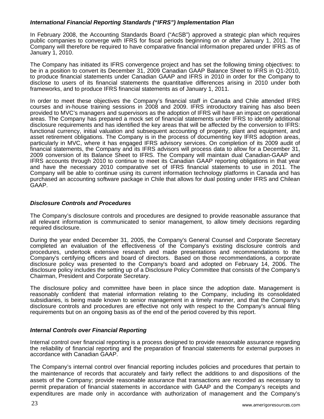# *International Financial Reporting Standards ("IFRS") Implementation Plan*

In February 2008, the Accounting Standards Board ("AcSB") approved a strategic plan which requires public companies to converge with IFRS for fiscal periods beginning on or after January 1, 2011. The Company will therefore be required to have comparative financial information prepared under IFRS as of January 1, 2010.

The Company has initiated its IFRS convergence project and has set the following timing objectives: to be in a position to convert its December 31, 2009 Canadian GAAP Balance Sheet to IFRS in Q1-2010, to produce financial statements under Canadian GAAP and IFRS in 2010 in order for the Company to disclose to users of its financial statements the quantitative differences arising in 2010 under both frameworks, and to produce IFRS financial statements as of January 1, 2011.

In order to meet these objectives the Company's financial staff in Canada and Chile attended IFRS courses and in-house training sessions in 2008 and 2009. IFRS introductory training has also been provided to MVC's managers and supervisors as the adoption of IFRS will have an impact on operational areas. The Company has prepared a mock set of financial statements under IFRS to identify additional disclosure requirements and has identified the key areas that will be affected by the conversion to IFRS: functional currency, initial valuation and subsequent accounting of property, plant and equipment, and asset retirement obligations. The Company is in the process of documenting key IFRS adoption areas, particularly in MVC, where it has engaged IFRS advisory services. On completion of its 2009 audit of financial statements, the Company and its IFRS advisors will process data to allow for a December 31, 2009 conversion of its Balance Sheet to IFRS. The Company will maintain dual Canadian-GAAP and IFRS accounts through 2010 to continue to meet its Canadian GAAP reporting obligations in that year and have the necessary 2010 comparative set of IFRS financial statements to use in 2011. The Company will be able to continue using its current information technology platforms in Canada and has purchased an accounting software package in Chile that allows for dual posting under IFRS and Chilean GAAP.

## *Disclosure Controls and Procedures*

The Company's disclosure controls and procedures are designed to provide reasonable assurance that all relevant information is communicated to senior management, to allow timely decisions regarding required disclosure.

During the year ended December 31, 2005, the Company's General Counsel and Corporate Secretary completed an evaluation of the effectiveness of the Company's existing disclosure controls and procedures, undertook extensive research and made presentations and recommendations to the Company's certifying officers and board of directors. Based on those recommendations, a corporate disclosure policy was presented to the Company's board and adopted on February 14, 2006. The disclosure policy includes the setting up of a Disclosure Policy Committee that consists of the Company's Chairman, President and Corporate Secretary.

The disclosure policy and committee have been in place since the adoption date. Management is reasonably confident that material information relating to the Company, including its consolidated subsidiaries, is being made known to senior management in a timely manner, and that the Company's disclosure controls and procedures are effective not only with respect to the Company's annual filing requirements but on an ongoing basis as of the end of the period covered by this report.

## *Internal Controls over Financial Reporting*

Internal control over financial reporting is a process designed to provide reasonable assurance regarding the reliability of financial reporting and the preparation of financial statements for external purposes in accordance with Canadian GAAP.

The Company's internal control over financial reporting includes policies and procedures that pertain to the maintenance of records that accurately and fairly reflect the additions to and dispositions of the assets of the Company; provide reasonable assurance that transactions are recorded as necessary to permit preparation of financial statements in accordance with GAAP and the Company's receipts and expenditures are made only in accordance with authorization of management and the Company's